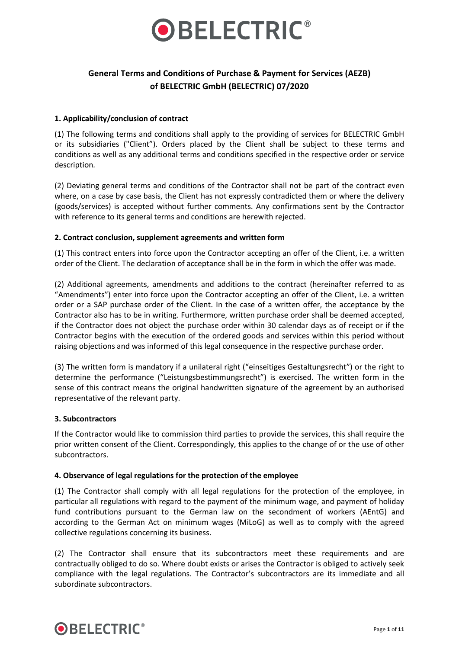

# **General Terms and Conditions of Purchase & Payment for Services (AEZB) of BELECTRIC GmbH (BELECTRIC) 07/2020**

# **1. Applicability/conclusion of contract**

(1) The following terms and conditions shall apply to the providing of services for BELECTRIC GmbH or its subsidiaries ("Client"). Orders placed by the Client shall be subject to these terms and conditions as well as any additional terms and conditions specified in the respective order or service description*.*

(2) Deviating general terms and conditions of the Contractor shall not be part of the contract even where, on a case by case basis, the Client has not expressly contradicted them or where the delivery (goods/services) is accepted without further comments. Any confirmations sent by the Contractor with reference to its general terms and conditions are herewith rejected.

#### **2. Contract conclusion, supplement agreements and written form**

(1) This contract enters into force upon the Contractor accepting an offer of the Client, i.e. a written order of the Client. The declaration of acceptance shall be in the form in which the offer was made.

(2) Additional agreements, amendments and additions to the contract (hereinafter referred to as "Amendments") enter into force upon the Contractor accepting an offer of the Client, i.e. a written order or a SAP purchase order of the Client. In the case of a written offer, the acceptance by the Contractor also has to be in writing. Furthermore, written purchase order shall be deemed accepted, if the Contractor does not object the purchase order within 30 calendar days as of receipt or if the Contractor begins with the execution of the ordered goods and services within this period without raising objections and was informed of this legal consequence in the respective purchase order.

(3) The written form is mandatory if a unilateral right ("einseitiges Gestaltungsrecht") or the right to determine the performance ("Leistungsbestimmungsrecht") is exercised. The written form in the sense of this contract means the original handwritten signature of the agreement by an authorised representative of the relevant party.

#### **3. Subcontractors**

If the Contractor would like to commission third parties to provide the services, this shall require the prior written consent of the Client. Correspondingly, this applies to the change of or the use of other subcontractors.

#### **4. Observance of legal regulations for the protection of the employee**

(1) The Contractor shall comply with all legal regulations for the protection of the employee, in particular all regulations with regard to the payment of the minimum wage, and payment of holiday fund contributions pursuant to the German law on the secondment of workers (AEntG) and according to the German Act on minimum wages (MiLoG) as well as to comply with the agreed collective regulations concerning its business.

(2) The Contractor shall ensure that its subcontractors meet these requirements and are contractually obliged to do so. Where doubt exists or arises the Contractor is obliged to actively seek compliance with the legal regulations. The Contractor's subcontractors are its immediate and all subordinate subcontractors.

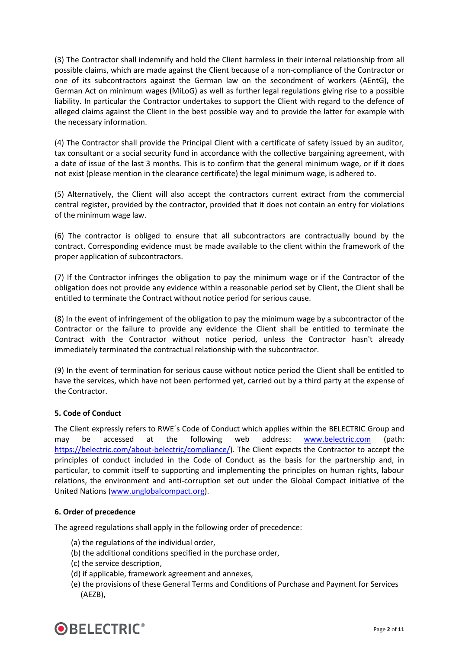(3) The Contractor shall indemnify and hold the Client harmless in their internal relationship from all possible claims, which are made against the Client because of a non-compliance of the Contractor or one of its subcontractors against the German law on the secondment of workers (AEntG), the German Act on minimum wages (MiLoG) as well as further legal regulations giving rise to a possible liability. In particular the Contractor undertakes to support the Client with regard to the defence of alleged claims against the Client in the best possible way and to provide the latter for example with the necessary information.

(4) The Contractor shall provide the Principal Client with a certificate of safety issued by an auditor, tax consultant or a social security fund in accordance with the collective bargaining agreement, with a date of issue of the last 3 months. This is to confirm that the general minimum wage, or if it does not exist (please mention in the clearance certificate) the legal minimum wage, is adhered to.

(5) Alternatively, the Client will also accept the contractors current extract from the commercial central register, provided by the contractor, provided that it does not contain an entry for violations of the minimum wage law.

(6) The contractor is obliged to ensure that all subcontractors are contractually bound by the contract. Corresponding evidence must be made available to the client within the framework of the proper application of subcontractors.

(7) If the Contractor infringes the obligation to pay the minimum wage or if the Contractor of the obligation does not provide any evidence within a reasonable period set by Client, the Client shall be entitled to terminate the Contract without notice period for serious cause.

(8) In the event of infringement of the obligation to pay the minimum wage by a subcontractor of the Contractor or the failure to provide any evidence the Client shall be entitled to terminate the Contract with the Contractor without notice period, unless the Contractor hasn't already immediately terminated the contractual relationship with the subcontractor.

(9) In the event of termination for serious cause without notice period the Client shall be entitled to have the services, which have not been performed yet, carried out by a third party at the expense of the Contractor.

# **5. Code of Conduct**

The Client expressly refers to RWE´s Code of Conduct which applies within the BELECTRIC Group and may be accessed at the following web address: [www.belectric.com](http://www.belectric.com/) (path: [https://belectric.com/about-belectric/compliance/\)](https://belectric.com/about-belectric/compliance/). The Client expects the Contractor to accept the principles of conduct included in the Code of Conduct as the basis for the partnership and, in particular, to commit itself to supporting and implementing the principles on human rights, labour relations, the environment and anti-corruption set out under the Global Compact initiative of the United Nations [\(www.unglobalcompact.org\)](http://www.unglobalcompact.org/).

#### **6. Order of precedence**

The agreed regulations shall apply in the following order of precedence:

- (a) the regulations of the individual order,
- (b) the additional conditions specified in the purchase order,
- (c) the service description,
- (d) if applicable, framework agreement and annexes,
- (e) the provisions of these General Terms and Conditions of Purchase and Payment for Services (AEZB),

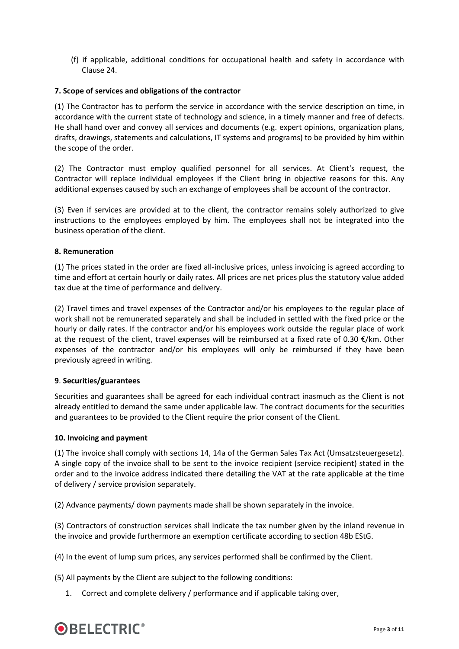(f) if applicable, additional conditions for occupational health and safety in accordance with Clause 24.

## **7. Scope of services and obligations of the contractor**

(1) The Contractor has to perform the service in accordance with the service description on time, in accordance with the current state of technology and science, in a timely manner and free of defects. He shall hand over and convey all services and documents (e.g. expert opinions, organization plans, drafts, drawings, statements and calculations, IT systems and programs) to be provided by him within the scope of the order.

(2) The Contractor must employ qualified personnel for all services. At Client's request, the Contractor will replace individual employees if the Client bring in objective reasons for this. Any additional expenses caused by such an exchange of employees shall be account of the contractor.

(3) Even if services are provided at to the client, the contractor remains solely authorized to give instructions to the employees employed by him. The employees shall not be integrated into the business operation of the client.

#### **8. Remuneration**

(1) The prices stated in the order are fixed all-inclusive prices, unless invoicing is agreed according to time and effort at certain hourly or daily rates. All prices are net prices plus the statutory value added tax due at the time of performance and delivery.

(2) Travel times and travel expenses of the Contractor and/or his employees to the regular place of work shall not be remunerated separately and shall be included in settled with the fixed price or the hourly or daily rates. If the contractor and/or his employees work outside the regular place of work at the request of the client, travel expenses will be reimbursed at a fixed rate of 0.30  $\epsilon$ /km. Other expenses of the contractor and/or his employees will only be reimbursed if they have been previously agreed in writing.

#### **9**. **Securities/guarantees**

Securities and guarantees shall be agreed for each individual contract inasmuch as the Client is not already entitled to demand the same under applicable law. The contract documents for the securities and guarantees to be provided to the Client require the prior consent of the Client.

#### **10. Invoicing and payment**

(1) The invoice shall comply with sections 14, 14a of the German Sales Tax Act (Umsatzsteuergesetz). A single copy of the invoice shall to be sent to the invoice recipient (service recipient) stated in the order and to the invoice address indicated there detailing the VAT at the rate applicable at the time of delivery / service provision separately.

(2) Advance payments/ down payments made shall be shown separately in the invoice.

(3) Contractors of construction services shall indicate the tax number given by the inland revenue in the invoice and provide furthermore an exemption certificate according to section 48b EStG.

(4) In the event of lump sum prices, any services performed shall be confirmed by the Client.

(5) All payments by the Client are subject to the following conditions:

1. Correct and complete delivery / performance and if applicable taking over,

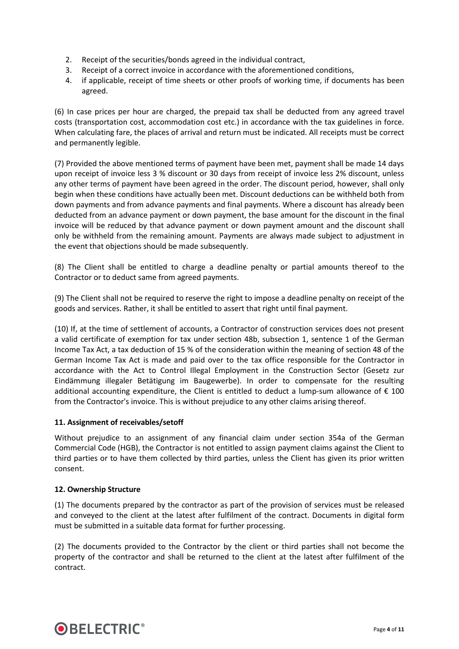- 2. Receipt of the securities/bonds agreed in the individual contract,
- 3. Receipt of a correct invoice in accordance with the aforementioned conditions,
- 4. if applicable, receipt of time sheets or other proofs of working time, if documents has been agreed.

(6) In case prices per hour are charged, the prepaid tax shall be deducted from any agreed travel costs (transportation cost, accommodation cost etc.) in accordance with the tax guidelines in force. When calculating fare, the places of arrival and return must be indicated. All receipts must be correct and permanently legible.

(7) Provided the above mentioned terms of payment have been met, payment shall be made 14 days upon receipt of invoice less 3 % discount or 30 days from receipt of invoice less 2% discount, unless any other terms of payment have been agreed in the order. The discount period, however, shall only begin when these conditions have actually been met. Discount deductions can be withheld both from down payments and from advance payments and final payments. Where a discount has already been deducted from an advance payment or down payment, the base amount for the discount in the final invoice will be reduced by that advance payment or down payment amount and the discount shall only be withheld from the remaining amount. Payments are always made subject to adjustment in the event that objections should be made subsequently.

(8) The Client shall be entitled to charge a deadline penalty or partial amounts thereof to the Contractor or to deduct same from agreed payments.

(9) The Client shall not be required to reserve the right to impose a deadline penalty on receipt of the goods and services. Rather, it shall be entitled to assert that right until final payment.

(10) If, at the time of settlement of accounts, a Contractor of construction services does not present a valid certificate of exemption for tax under section 48b, subsection 1, sentence 1 of the German Income Tax Act, a tax deduction of 15 % of the consideration within the meaning of section 48 of the German Income Tax Act is made and paid over to the tax office responsible for the Contractor in accordance with the Act to Control Illegal Employment in the Construction Sector (Gesetz zur Eindämmung illegaler Betätigung im Baugewerbe). In order to compensate for the resulting additional accounting expenditure, the Client is entitled to deduct a lump-sum allowance of  $\epsilon$  100 from the Contractor's invoice. This is without prejudice to any other claims arising thereof.

# **11. Assignment of receivables/setoff**

Without prejudice to an assignment of any financial claim under section 354a of the German Commercial Code (HGB), the Contractor is not entitled to assign payment claims against the Client to third parties or to have them collected by third parties, unless the Client has given its prior written consent.

#### **12. Ownership Structure**

(1) The documents prepared by the contractor as part of the provision of services must be released and conveyed to the client at the latest after fulfilment of the contract. Documents in digital form must be submitted in a suitable data format for further processing.

(2) The documents provided to the Contractor by the client or third parties shall not become the property of the contractor and shall be returned to the client at the latest after fulfilment of the contract.

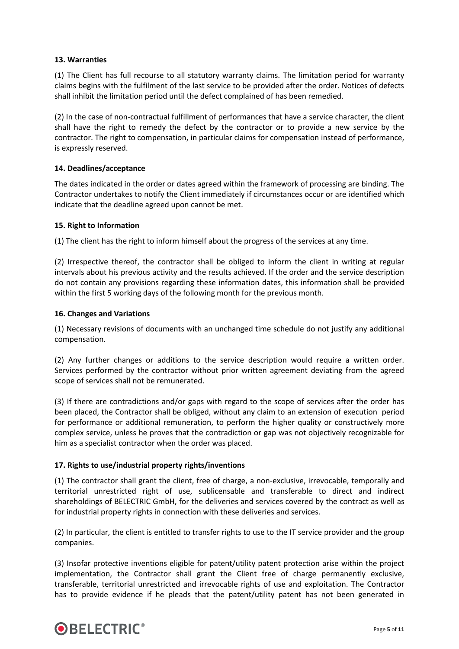# **13. Warranties**

(1) The Client has full recourse to all statutory warranty claims. The limitation period for warranty claims begins with the fulfilment of the last service to be provided after the order. Notices of defects shall inhibit the limitation period until the defect complained of has been remedied.

(2) In the case of non-contractual fulfillment of performances that have a service character, the client shall have the right to remedy the defect by the contractor or to provide a new service by the contractor. The right to compensation, in particular claims for compensation instead of performance, is expressly reserved.

#### **14. Deadlines/acceptance**

The dates indicated in the order or dates agreed within the framework of processing are binding. The Contractor undertakes to notify the Client immediately if circumstances occur or are identified which indicate that the deadline agreed upon cannot be met.

#### **15. Right to Information**

(1) The client has the right to inform himself about the progress of the services at any time.

(2) Irrespective thereof, the contractor shall be obliged to inform the client in writing at regular intervals about his previous activity and the results achieved. If the order and the service description do not contain any provisions regarding these information dates, this information shall be provided within the first 5 working days of the following month for the previous month.

#### **16. Changes and Variations**

(1) Necessary revisions of documents with an unchanged time schedule do not justify any additional compensation.

(2) Any further changes or additions to the service description would require a written order. Services performed by the contractor without prior written agreement deviating from the agreed scope of services shall not be remunerated.

(3) If there are contradictions and/or gaps with regard to the scope of services after the order has been placed, the Contractor shall be obliged, without any claim to an extension of execution period for performance or additional remuneration, to perform the higher quality or constructively more complex service, unless he proves that the contradiction or gap was not objectively recognizable for him as a specialist contractor when the order was placed.

# **17. Rights to use/industrial property rights/inventions**

(1) The contractor shall grant the client, free of charge, a non-exclusive, irrevocable, temporally and territorial unrestricted right of use, sublicensable and transferable to direct and indirect shareholdings of BELECTRIC GmbH, for the deliveries and services covered by the contract as well as for industrial property rights in connection with these deliveries and services.

(2) In particular, the client is entitled to transfer rights to use to the IT service provider and the group companies.

(3) Insofar protective inventions eligible for patent/utility patent protection arise within the project implementation, the Contractor shall grant the Client free of charge permanently exclusive, transferable, territorial unrestricted and irrevocable rights of use and exploitation. The Contractor has to provide evidence if he pleads that the patent/utility patent has not been generated in

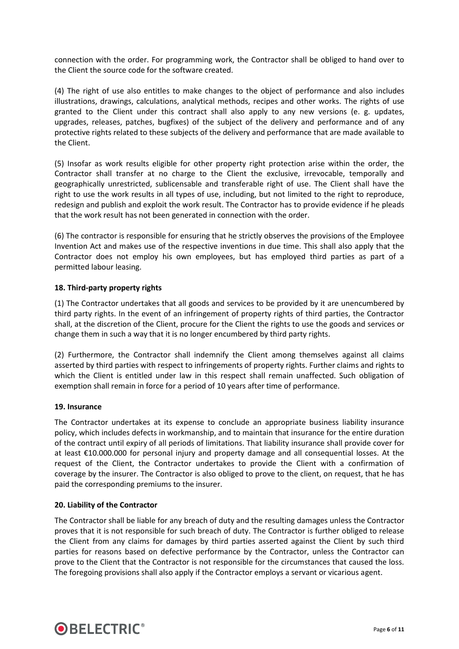connection with the order. For programming work, the Contractor shall be obliged to hand over to the Client the source code for the software created.

(4) The right of use also entitles to make changes to the object of performance and also includes illustrations, drawings, calculations, analytical methods, recipes and other works. The rights of use granted to the Client under this contract shall also apply to any new versions (e. g. updates, upgrades, releases, patches, bugfixes) of the subject of the delivery and performance and of any protective rights related to these subjects of the delivery and performance that are made available to the Client.

(5) Insofar as work results eligible for other property right protection arise within the order, the Contractor shall transfer at no charge to the Client the exclusive, irrevocable, temporally and geographically unrestricted, sublicensable and transferable right of use. The Client shall have the right to use the work results in all types of use, including, but not limited to the right to reproduce, redesign and publish and exploit the work result. The Contractor has to provide evidence if he pleads that the work result has not been generated in connection with the order.

(6) The contractor is responsible for ensuring that he strictly observes the provisions of the Employee Invention Act and makes use of the respective inventions in due time. This shall also apply that the Contractor does not employ his own employees, but has employed third parties as part of a permitted labour leasing.

# **18. Third-party property rights**

(1) The Contractor undertakes that all goods and services to be provided by it are unencumbered by third party rights. In the event of an infringement of property rights of third parties, the Contractor shall, at the discretion of the Client, procure for the Client the rights to use the goods and services or change them in such a way that it is no longer encumbered by third party rights.

(2) Furthermore, the Contractor shall indemnify the Client among themselves against all claims asserted by third parties with respect to infringements of property rights. Further claims and rights to which the Client is entitled under law in this respect shall remain unaffected. Such obligation of exemption shall remain in force for a period of 10 years after time of performance.

#### **19. Insurance**

The Contractor undertakes at its expense to conclude an appropriate business liability insurance policy, which includes defects in workmanship, and to maintain that insurance for the entire duration of the contract until expiry of all periods of limitations. That liability insurance shall provide cover for at least €10.000.000 for personal injury and property damage and all consequential losses. At the request of the Client, the Contractor undertakes to provide the Client with a confirmation of coverage by the insurer. The Contractor is also obliged to prove to the client, on request, that he has paid the corresponding premiums to the insurer.

#### **20. Liability of the Contractor**

The Contractor shall be liable for any breach of duty and the resulting damages unless the Contractor proves that it is not responsible for such breach of duty. The Contractor is further obliged to release the Client from any claims for damages by third parties asserted against the Client by such third parties for reasons based on defective performance by the Contractor, unless the Contractor can prove to the Client that the Contractor is not responsible for the circumstances that caused the loss. The foregoing provisions shall also apply if the Contractor employs a servant or vicarious agent.

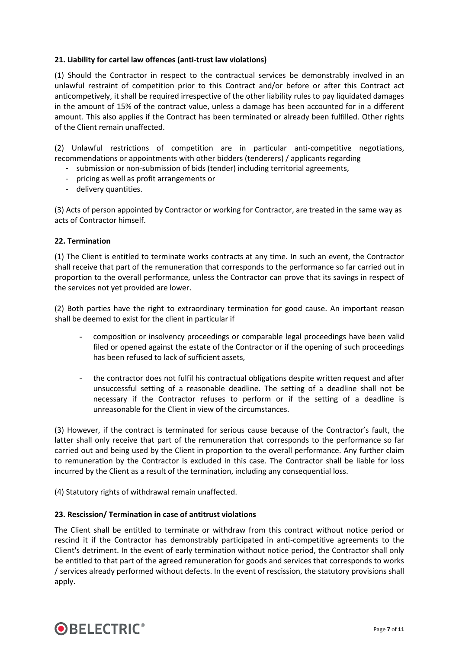# **21. Liability for cartel law offences (anti-trust law violations)**

(1) Should the Contractor in respect to the contractual services be demonstrably involved in an unlawful restraint of competition prior to this Contract and/or before or after this Contract act anticompetively, it shall be required irrespective of the other liability rules to pay liquidated damages in the amount of 15% of the contract value, unless a damage has been accounted for in a different amount. This also applies if the Contract has been terminated or already been fulfilled. Other rights of the Client remain unaffected.

(2) Unlawful restrictions of competition are in particular anti-competitive negotiations, recommendations or appointments with other bidders (tenderers) / applicants regarding

- submission or non-submission of bids (tender) including territorial agreements,
- pricing as well as profit arrangements or
- delivery quantities.

(3) Acts of person appointed by Contractor or working for Contractor, are treated in the same way as acts of Contractor himself.

#### **22. Termination**

(1) The Client is entitled to terminate works contracts at any time. In such an event, the Contractor shall receive that part of the remuneration that corresponds to the performance so far carried out in proportion to the overall performance, unless the Contractor can prove that its savings in respect of the services not yet provided are lower.

(2) Both parties have the right to extraordinary termination for good cause. An important reason shall be deemed to exist for the client in particular if

- composition or insolvency proceedings or comparable legal proceedings have been valid filed or opened against the estate of the Contractor or if the opening of such proceedings has been refused to lack of sufficient assets,
- the contractor does not fulfil his contractual obligations despite written request and after unsuccessful setting of a reasonable deadline. The setting of a deadline shall not be necessary if the Contractor refuses to perform or if the setting of a deadline is unreasonable for the Client in view of the circumstances.

(3) However, if the contract is terminated for serious cause because of the Contractor's fault, the latter shall only receive that part of the remuneration that corresponds to the performance so far carried out and being used by the Client in proportion to the overall performance. Any further claim to remuneration by the Contractor is excluded in this case. The Contractor shall be liable for loss incurred by the Client as a result of the termination, including any consequential loss.

(4) Statutory rights of withdrawal remain unaffected.

#### **23. Rescission/ Termination in case of antitrust violations**

The Client shall be entitled to terminate or withdraw from this contract without notice period or rescind it if the Contractor has demonstrably participated in anti-competitive agreements to the Client's detriment. In the event of early termination without notice period, the Contractor shall only be entitled to that part of the agreed remuneration for goods and services that corresponds to works / services already performed without defects. In the event of rescission, the statutory provisions shall apply.

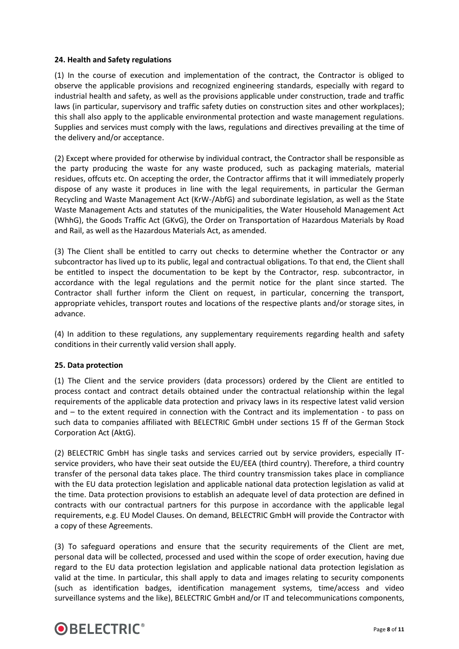## **24. Health and Safety regulations**

(1) In the course of execution and implementation of the contract, the Contractor is obliged to observe the applicable provisions and recognized engineering standards, especially with regard to industrial health and safety, as well as the provisions applicable under construction, trade and traffic laws (in particular, supervisory and traffic safety duties on construction sites and other workplaces); this shall also apply to the applicable environmental protection and waste management regulations. Supplies and services must comply with the laws, regulations and directives prevailing at the time of the delivery and/or acceptance.

(2) Except where provided for otherwise by individual contract, the Contractor shall be responsible as the party producing the waste for any waste produced, such as packaging materials, material residues, offcuts etc. On accepting the order, the Contractor affirms that it will immediately properly dispose of any waste it produces in line with the legal requirements, in particular the German Recycling and Waste Management Act (KrW-/AbfG) and subordinate legislation, as well as the State Waste Management Acts and statutes of the municipalities, the Water Household Management Act (WhhG), the Goods Traffic Act (GKvG), the Order on Transportation of Hazardous Materials by Road and Rail, as well as the Hazardous Materials Act, as amended.

(3) The Client shall be entitled to carry out checks to determine whether the Contractor or any subcontractor has lived up to its public, legal and contractual obligations. To that end, the Client shall be entitled to inspect the documentation to be kept by the Contractor, resp. subcontractor, in accordance with the legal regulations and the permit notice for the plant since started. The Contractor shall further inform the Client on request, in particular, concerning the transport, appropriate vehicles, transport routes and locations of the respective plants and/or storage sites, in advance.

(4) In addition to these regulations, any supplementary requirements regarding health and safety conditions in their currently valid version shall apply.

#### **25. Data protection**

(1) The Client and the service providers (data processors) ordered by the Client are entitled to process contact and contract details obtained under the contractual relationship within the legal requirements of the applicable data protection and privacy laws in its respective latest valid version and – to the extent required in connection with the Contract and its implementation - to pass on such data to companies affiliated with BELECTRIC GmbH under sections 15 ff of the German Stock Corporation Act (AktG).

(2) BELECTRIC GmbH has single tasks and services carried out by service providers, especially ITservice providers, who have their seat outside the EU/EEA (third country). Therefore, a third country transfer of the personal data takes place. The third country transmission takes place in compliance with the EU data protection legislation and applicable national data protection legislation as valid at the time. Data protection provisions to establish an adequate level of data protection are defined in contracts with our contractual partners for this purpose in accordance with the applicable legal requirements, e.g. EU Model Clauses. On demand, BELECTRIC GmbH will provide the Contractor with a copy of these Agreements.

(3) To safeguard operations and ensure that the security requirements of the Client are met, personal data will be collected, processed and used within the scope of order execution, having due regard to the EU data protection legislation and applicable national data protection legislation as valid at the time. In particular, this shall apply to data and images relating to security components (such as identification badges, identification management systems, time/access and video surveillance systems and the like), BELECTRIC GmbH and/or IT and telecommunications components,

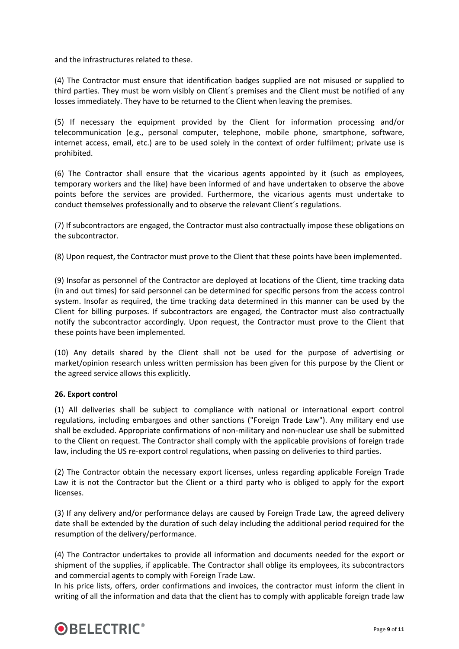and the infrastructures related to these.

(4) The Contractor must ensure that identification badges supplied are not misused or supplied to third parties. They must be worn visibly on Client´s premises and the Client must be notified of any losses immediately. They have to be returned to the Client when leaving the premises.

(5) If necessary the equipment provided by the Client for information processing and/or telecommunication (e.g., personal computer, telephone, mobile phone, smartphone, software, internet access, email, etc.) are to be used solely in the context of order fulfilment; private use is prohibited.

(6) The Contractor shall ensure that the vicarious agents appointed by it (such as employees, temporary workers and the like) have been informed of and have undertaken to observe the above points before the services are provided. Furthermore, the vicarious agents must undertake to conduct themselves professionally and to observe the relevant Client´s regulations.

(7) If subcontractors are engaged, the Contractor must also contractually impose these obligations on the subcontractor.

(8) Upon request, the Contractor must prove to the Client that these points have been implemented.

(9) Insofar as personnel of the Contractor are deployed at locations of the Client, time tracking data (in and out times) for said personnel can be determined for specific persons from the access control system. Insofar as required, the time tracking data determined in this manner can be used by the Client for billing purposes. If subcontractors are engaged, the Contractor must also contractually notify the subcontractor accordingly. Upon request, the Contractor must prove to the Client that these points have been implemented.

(10) Any details shared by the Client shall not be used for the purpose of advertising or market/opinion research unless written permission has been given for this purpose by the Client or the agreed service allows this explicitly.

#### **26. Export control**

(1) All deliveries shall be subject to compliance with national or international export control regulations, including embargoes and other sanctions ("Foreign Trade Law"). Any military end use shall be excluded. Appropriate confirmations of non-military and non-nuclear use shall be submitted to the Client on request. The Contractor shall comply with the applicable provisions of foreign trade law, including the US re-export control regulations, when passing on deliveries to third parties.

(2) The Contractor obtain the necessary export licenses, unless regarding applicable Foreign Trade Law it is not the Contractor but the Client or a third party who is obliged to apply for the export licenses.

(3) If any delivery and/or performance delays are caused by Foreign Trade Law, the agreed delivery date shall be extended by the duration of such delay including the additional period required for the resumption of the delivery/performance.

(4) The Contractor undertakes to provide all information and documents needed for the export or shipment of the supplies, if applicable. The Contractor shall oblige its employees, its subcontractors and commercial agents to comply with Foreign Trade Law.

In his price lists, offers, order confirmations and invoices, the contractor must inform the client in writing of all the information and data that the client has to comply with applicable foreign trade law

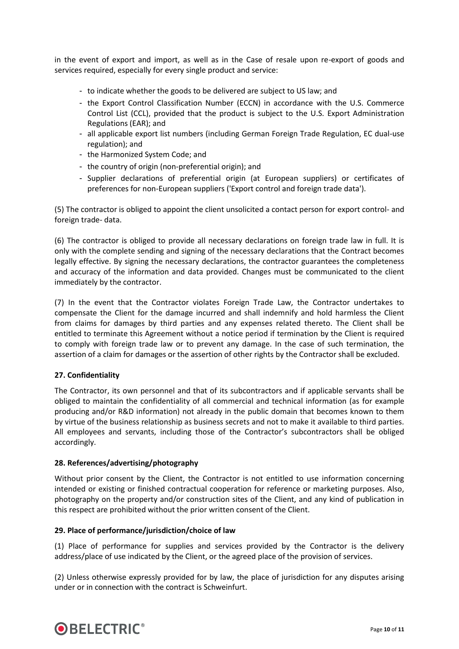in the event of export and import, as well as in the Case of resale upon re-export of goods and services required, especially for every single product and service:

- to indicate whether the goods to be delivered are subject to US law; and
- the Export Control Classification Number (ECCN) in accordance with the U.S. Commerce Control List (CCL), provided that the product is subject to the U.S. Export Administration Regulations (EAR); and
- all applicable export list numbers (including German Foreign Trade Regulation, EC dual-use regulation); and
- the Harmonized System Code; and
- the country of origin (non-preferential origin); and
- Supplier declarations of preferential origin (at European suppliers) or certificates of preferences for non-European suppliers ('Export control and foreign trade data').

(5) The contractor is obliged to appoint the client unsolicited a contact person for export control- and foreign trade- data.

(6) The contractor is obliged to provide all necessary declarations on foreign trade law in full. It is only with the complete sending and signing of the necessary declarations that the Contract becomes legally effective. By signing the necessary declarations, the contractor guarantees the completeness and accuracy of the information and data provided. Changes must be communicated to the client immediately by the contractor.

(7) In the event that the Contractor violates Foreign Trade Law, the Contractor undertakes to compensate the Client for the damage incurred and shall indemnify and hold harmless the Client from claims for damages by third parties and any expenses related thereto. The Client shall be entitled to terminate this Agreement without a notice period if termination by the Client is required to comply with foreign trade law or to prevent any damage. In the case of such termination, the assertion of a claim for damages or the assertion of other rights by the Contractor shall be excluded.

#### **27. Confidentiality**

The Contractor, its own personnel and that of its subcontractors and if applicable servants shall be obliged to maintain the confidentiality of all commercial and technical information (as for example producing and/or R&D information) not already in the public domain that becomes known to them by virtue of the business relationship as business secrets and not to make it available to third parties. All employees and servants, including those of the Contractor's subcontractors shall be obliged accordingly.

#### **28. References/advertising/photography**

Without prior consent by the Client, the Contractor is not entitled to use information concerning intended or existing or finished contractual cooperation for reference or marketing purposes. Also, photography on the property and/or construction sites of the Client, and any kind of publication in this respect are prohibited without the prior written consent of the Client.

#### **29. Place of performance/jurisdiction/choice of law**

(1) Place of performance for supplies and services provided by the Contractor is the delivery address/place of use indicated by the Client, or the agreed place of the provision of services.

(2) Unless otherwise expressly provided for by law, the place of jurisdiction for any disputes arising under or in connection with the contract is Schweinfurt.